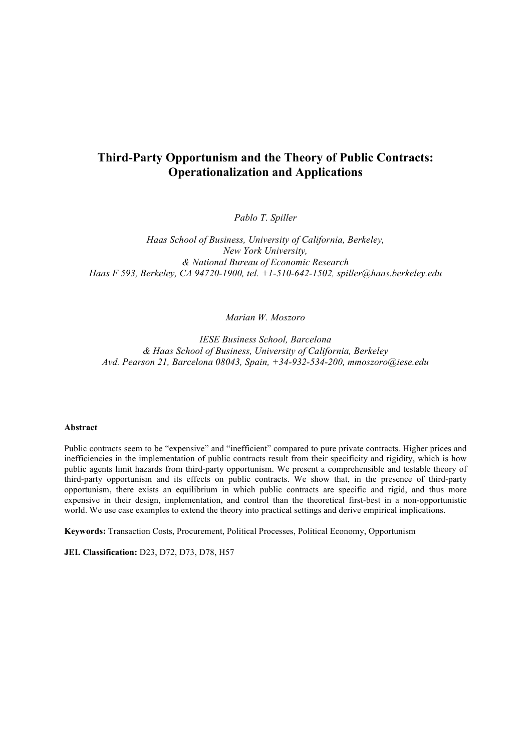# **Third-Party Opportunism and the Theory of Public Contracts: Operationalization and Applications**

*Pablo T. Spiller*

*Haas School of Business, University of California, Berkeley, New York University, & National Bureau of Economic Research Haas F 593, Berkeley, CA 94720-1900, tel. +1-510-642-1502, spiller@haas.berkeley.edu*

#### *Marian W. Moszoro*

*IESE Business School, Barcelona & Haas School of Business, University of California, Berkeley Avd. Pearson 21, Barcelona 08043, Spain, +34-932-534-200, mmoszoro@iese.edu*

#### **Abstract**

Public contracts seem to be "expensive" and "inefficient" compared to pure private contracts. Higher prices and inefficiencies in the implementation of public contracts result from their specificity and rigidity, which is how public agents limit hazards from third-party opportunism. We present a comprehensible and testable theory of third-party opportunism and its effects on public contracts. We show that, in the presence of third-party opportunism, there exists an equilibrium in which public contracts are specific and rigid, and thus more expensive in their design, implementation, and control than the theoretical first-best in a non-opportunistic world. We use case examples to extend the theory into practical settings and derive empirical implications.

**Keywords:** Transaction Costs, Procurement, Political Processes, Political Economy, Opportunism

**JEL Classification:** D23, D72, D73, D78, H57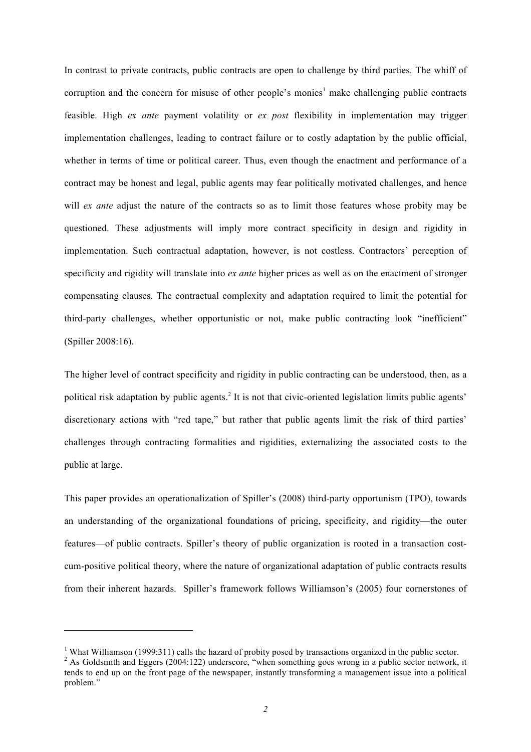In contrast to private contracts, public contracts are open to challenge by third parties. The whiff of corruption and the concern for misuse of other people's monies<sup>1</sup> make challenging public contracts feasible. High *ex ante* payment volatility or *ex post* flexibility in implementation may trigger implementation challenges, leading to contract failure or to costly adaptation by the public official, whether in terms of time or political career. Thus, even though the enactment and performance of a contract may be honest and legal, public agents may fear politically motivated challenges, and hence will *ex ante* adjust the nature of the contracts so as to limit those features whose probity may be questioned. These adjustments will imply more contract specificity in design and rigidity in implementation. Such contractual adaptation, however, is not costless. Contractors' perception of specificity and rigidity will translate into *ex ante* higher prices as well as on the enactment of stronger compensating clauses. The contractual complexity and adaptation required to limit the potential for third-party challenges, whether opportunistic or not, make public contracting look "inefficient" (Spiller 2008:16).

The higher level of contract specificity and rigidity in public contracting can be understood, then, as a political risk adaptation by public agents.<sup>2</sup> It is not that civic-oriented legislation limits public agents' discretionary actions with "red tape," but rather that public agents limit the risk of third parties' challenges through contracting formalities and rigidities, externalizing the associated costs to the public at large.

This paper provides an operationalization of Spiller's (2008) third-party opportunism (TPO), towards an understanding of the organizational foundations of pricing, specificity, and rigidity—the outer features—of public contracts. Spiller's theory of public organization is rooted in a transaction costcum-positive political theory, where the nature of organizational adaptation of public contracts results from their inherent hazards. Spiller's framework follows Williamson's (2005) four cornerstones of

 $\overline{a}$ 

<sup>&</sup>lt;sup>1</sup> What Williamson (1999:311) calls the hazard of probity posed by transactions organized in the public sector.

<sup>&</sup>lt;sup>2</sup> As Goldsmith and Eggers (2004:122) underscore, "when something goes wrong in a public sector network, it tends to end up on the front page of the newspaper, instantly transforming a management issue into a political problem."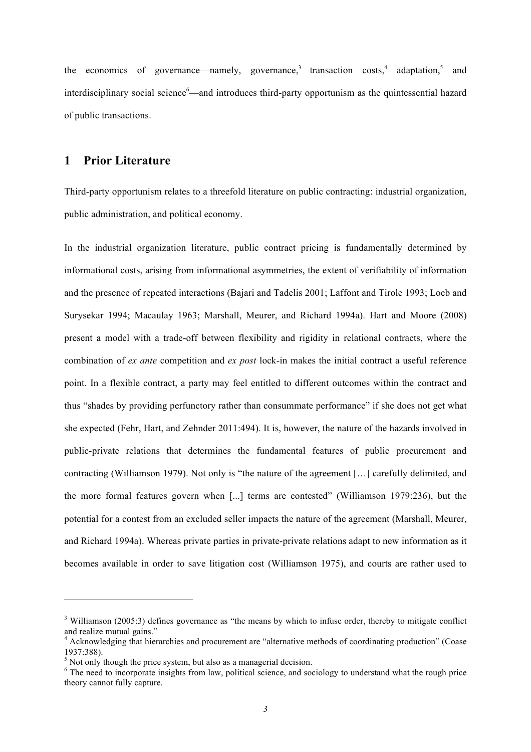the economics of governance—namely, governance,<sup>3</sup> transaction costs,<sup>4</sup> adaptation,<sup>5</sup> and interdisciplinary social science<sup>6</sup>—and introduces third-party opportunism as the quintessential hazard of public transactions.

#### **1 Prior Literature**

Third-party opportunism relates to a threefold literature on public contracting: industrial organization, public administration, and political economy.

In the industrial organization literature, public contract pricing is fundamentally determined by informational costs, arising from informational asymmetries, the extent of verifiability of information and the presence of repeated interactions (Bajari and Tadelis 2001; Laffont and Tirole 1993; Loeb and Surysekar 1994; Macaulay 1963; Marshall, Meurer, and Richard 1994a). Hart and Moore (2008) present a model with a trade-off between flexibility and rigidity in relational contracts, where the combination of *ex ante* competition and *ex post* lock-in makes the initial contract a useful reference point. In a flexible contract, a party may feel entitled to different outcomes within the contract and thus "shades by providing perfunctory rather than consummate performance" if she does not get what she expected (Fehr, Hart, and Zehnder 2011:494). It is, however, the nature of the hazards involved in public-private relations that determines the fundamental features of public procurement and contracting (Williamson 1979). Not only is "the nature of the agreement […] carefully delimited, and the more formal features govern when [...] terms are contested" (Williamson 1979:236), but the potential for a contest from an excluded seller impacts the nature of the agreement (Marshall, Meurer, and Richard 1994a). Whereas private parties in private-private relations adapt to new information as it becomes available in order to save litigation cost (Williamson 1975), and courts are rather used to

<sup>&</sup>lt;sup>3</sup> Williamson (2005:3) defines governance as "the means by which to infuse order, thereby to mitigate conflict and realize mutual gains."<br><sup>4</sup> Acknowledging that hierarchies and procurement are "alternative methods of coordinating production" (Coase

<sup>1937:388).&</sup>lt;br><sup>5</sup> Not only though the price system, but also as a managerial decision.<br><sup>6</sup> The need to incorporate insights from law, political science, and sociology to understand what the rough price

theory cannot fully capture.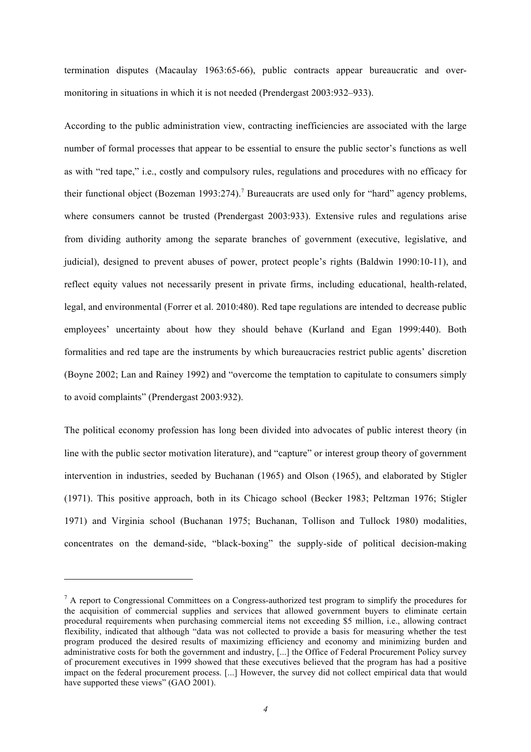termination disputes (Macaulay 1963:65-66), public contracts appear bureaucratic and overmonitoring in situations in which it is not needed (Prendergast 2003:932–933).

According to the public administration view, contracting inefficiencies are associated with the large number of formal processes that appear to be essential to ensure the public sector's functions as well as with "red tape," i.e., costly and compulsory rules, regulations and procedures with no efficacy for their functional object (Bozeman 1993:274).<sup>7</sup> Bureaucrats are used only for "hard" agency problems, where consumers cannot be trusted (Prendergast 2003:933). Extensive rules and regulations arise from dividing authority among the separate branches of government (executive, legislative, and judicial), designed to prevent abuses of power, protect people's rights (Baldwin 1990:10-11), and reflect equity values not necessarily present in private firms, including educational, health-related, legal, and environmental (Forrer et al. 2010:480). Red tape regulations are intended to decrease public employees' uncertainty about how they should behave (Kurland and Egan 1999:440). Both formalities and red tape are the instruments by which bureaucracies restrict public agents' discretion (Boyne 2002; Lan and Rainey 1992) and "overcome the temptation to capitulate to consumers simply to avoid complaints" (Prendergast 2003:932).

The political economy profession has long been divided into advocates of public interest theory (in line with the public sector motivation literature), and "capture" or interest group theory of government intervention in industries, seeded by Buchanan (1965) and Olson (1965), and elaborated by Stigler (1971). This positive approach, both in its Chicago school (Becker 1983; Peltzman 1976; Stigler 1971) and Virginia school (Buchanan 1975; Buchanan, Tollison and Tullock 1980) modalities, concentrates on the demand-side, "black-boxing" the supply-side of political decision-making

 $\overline{a}$ 

<sup>&</sup>lt;sup>7</sup> A report to Congressional Committees on a Congress-authorized test program to simplify the procedures for the acquisition of commercial supplies and services that allowed government buyers to eliminate certain procedural requirements when purchasing commercial items not exceeding \$5 million, i.e., allowing contract flexibility, indicated that although "data was not collected to provide a basis for measuring whether the test program produced the desired results of maximizing efficiency and economy and minimizing burden and administrative costs for both the government and industry, [...] the Office of Federal Procurement Policy survey of procurement executives in 1999 showed that these executives believed that the program has had a positive impact on the federal procurement process. [...] However, the survey did not collect empirical data that would have supported these views" (GAO 2001).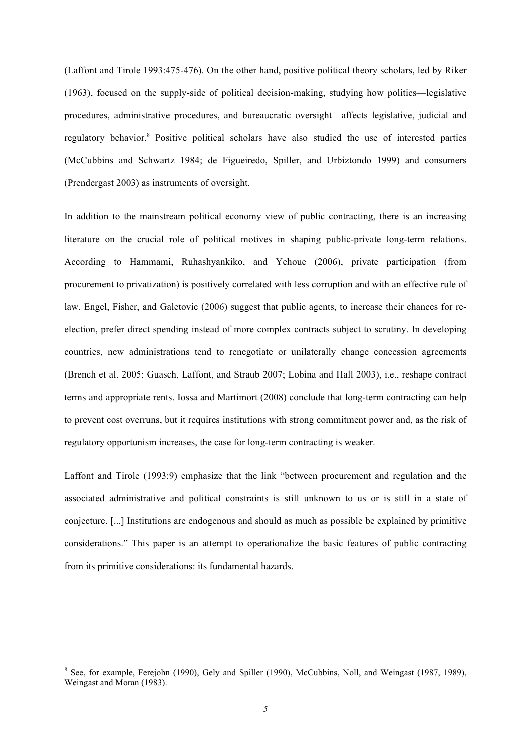(Laffont and Tirole 1993:475-476). On the other hand, positive political theory scholars, led by Riker (1963), focused on the supply-side of political decision-making, studying how politics—legislative procedures, administrative procedures, and bureaucratic oversight—affects legislative, judicial and regulatory behavior.<sup>8</sup> Positive political scholars have also studied the use of interested parties (McCubbins and Schwartz 1984; de Figueiredo, Spiller, and Urbiztondo 1999) and consumers (Prendergast 2003) as instruments of oversight.

In addition to the mainstream political economy view of public contracting, there is an increasing literature on the crucial role of political motives in shaping public-private long-term relations. According to Hammami, Ruhashyankiko, and Yehoue (2006), private participation (from procurement to privatization) is positively correlated with less corruption and with an effective rule of law. Engel, Fisher, and Galetovic (2006) suggest that public agents, to increase their chances for reelection, prefer direct spending instead of more complex contracts subject to scrutiny. In developing countries, new administrations tend to renegotiate or unilaterally change concession agreements (Brench et al. 2005; Guasch, Laffont, and Straub 2007; Lobina and Hall 2003), i.e., reshape contract terms and appropriate rents. Iossa and Martimort (2008) conclude that long-term contracting can help to prevent cost overruns, but it requires institutions with strong commitment power and, as the risk of regulatory opportunism increases, the case for long-term contracting is weaker.

Laffont and Tirole (1993:9) emphasize that the link "between procurement and regulation and the associated administrative and political constraints is still unknown to us or is still in a state of conjecture. [...] Institutions are endogenous and should as much as possible be explained by primitive considerations." This paper is an attempt to operationalize the basic features of public contracting from its primitive considerations: its fundamental hazards.

<sup>8</sup> See, for example, Ferejohn (1990), Gely and Spiller (1990), McCubbins, Noll, and Weingast (1987, 1989), Weingast and Moran (1983).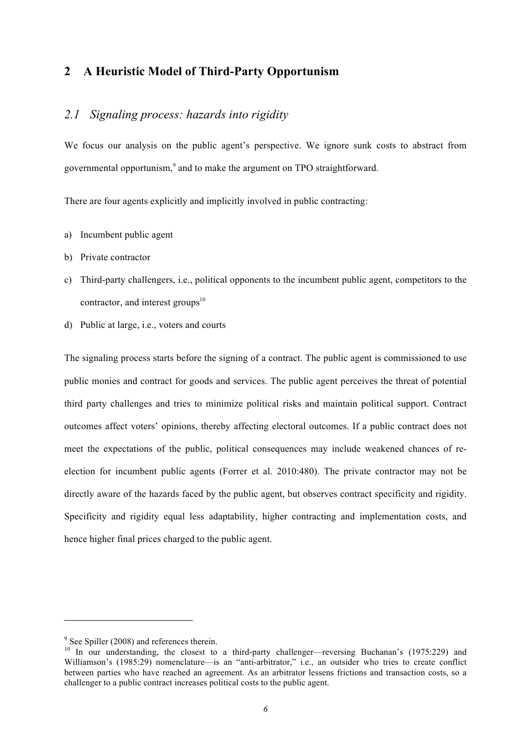### **2 A Heuristic Model of Third-Party Opportunism**

## *2.1 Signaling process: hazards into rigidity*

We focus our analysis on the public agent's perspective. We ignore sunk costs to abstract from governmental opportunism, <sup>9</sup> and to make the argument on TPO straightforward.

There are four agents explicitly and implicitly involved in public contracting:

- a) Incumbent public agent
- b) Private contractor
- c) Third-party challengers, i.e., political opponents to the incumbent public agent, competitors to the contractor, and interest groups $10$
- d) Public at large, i.e., voters and courts

The signaling process starts before the signing of a contract. The public agent is commissioned to use public monies and contract for goods and services. The public agent perceives the threat of potential third party challenges and tries to minimize political risks and maintain political support. Contract outcomes affect voters' opinions, thereby affecting electoral outcomes. If a public contract does not meet the expectations of the public, political consequences may include weakened chances of reelection for incumbent public agents (Forrer et al. 2010:480). The private contractor may not be directly aware of the hazards faced by the public agent, but observes contract specificity and rigidity. Specificity and rigidity equal less adaptability, higher contracting and implementation costs, and hence higher final prices charged to the public agent.

<sup>&</sup>lt;sup>9</sup> See Spiller (2008) and references therein.

<sup>&</sup>lt;sup>10</sup> In our understanding, the closest to a third-party challenger—reversing Buchanan's (1975:229) and Williamson's (1985:29) nomenclature—is an "anti-arbitrator," i.e., an outsider who tries to create conflict between parties who have reached an agreement. As an arbitrator lessens frictions and transaction costs, so a challenger to a public contract increases political costs to the public agent.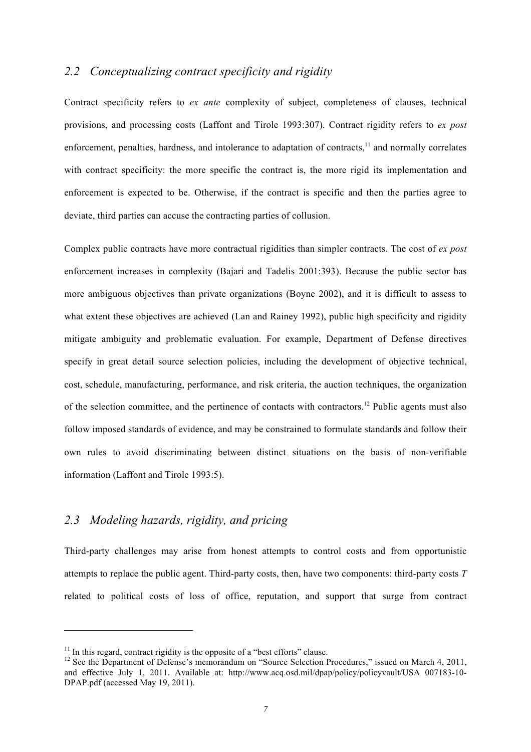# *2.2 Conceptualizing contract specificity and rigidity*

Contract specificity refers to *ex ante* complexity of subject, completeness of clauses, technical provisions, and processing costs (Laffont and Tirole 1993:307). Contract rigidity refers to *ex post* enforcement, penalties, hardness, and intolerance to adaptation of contracts,<sup>11</sup> and normally correlates with contract specificity: the more specific the contract is, the more rigid its implementation and enforcement is expected to be. Otherwise, if the contract is specific and then the parties agree to deviate, third parties can accuse the contracting parties of collusion.

Complex public contracts have more contractual rigidities than simpler contracts. The cost of *ex post* enforcement increases in complexity (Bajari and Tadelis 2001:393). Because the public sector has more ambiguous objectives than private organizations (Boyne 2002), and it is difficult to assess to what extent these objectives are achieved (Lan and Rainey 1992), public high specificity and rigidity mitigate ambiguity and problematic evaluation. For example, Department of Defense directives specify in great detail source selection policies, including the development of objective technical, cost, schedule, manufacturing, performance, and risk criteria, the auction techniques, the organization of the selection committee, and the pertinence of contacts with contractors.<sup>12</sup> Public agents must also follow imposed standards of evidence, and may be constrained to formulate standards and follow their own rules to avoid discriminating between distinct situations on the basis of non-verifiable information (Laffont and Tirole 1993:5).

# *2.3 Modeling hazards, rigidity, and pricing*

 $\overline{a}$ 

Third-party challenges may arise from honest attempts to control costs and from opportunistic attempts to replace the public agent. Third-party costs, then, have two components: third-party costs *T* related to political costs of loss of office, reputation, and support that surge from contract

<sup>&</sup>lt;sup>11</sup> In this regard, contract rigidity is the opposite of a "best efforts" clause.<br><sup>12</sup> See the Department of Defense's memorandum on "Source Selection Procedures," issued on March 4, 2011, and effective July 1, 2011. Available at: http://www.acq.osd.mil/dpap/policy/policyvault/USA 007183-10- DPAP.pdf (accessed May 19, 2011).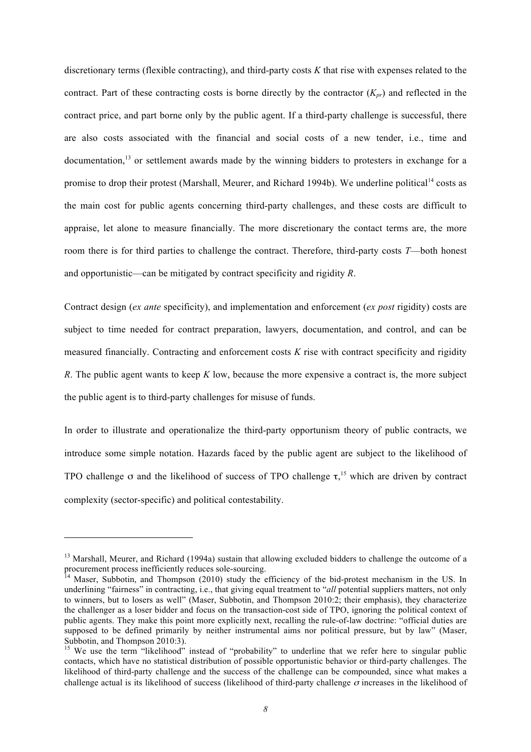discretionary terms (flexible contracting), and third-party costs *K* that rise with expenses related to the contract. Part of these contracting costs is borne directly by the contractor  $(K_{pr})$  and reflected in the contract price, and part borne only by the public agent. If a third-party challenge is successful, there are also costs associated with the financial and social costs of a new tender, i.e., time and documentation,<sup>13</sup> or settlement awards made by the winning bidders to protesters in exchange for a promise to drop their protest (Marshall, Meurer, and Richard 1994b). We underline political<sup>14</sup> costs as the main cost for public agents concerning third-party challenges, and these costs are difficult to appraise, let alone to measure financially. The more discretionary the contact terms are, the more room there is for third parties to challenge the contract. Therefore, third-party costs *T*—both honest and opportunistic—can be mitigated by contract specificity and rigidity *R*.

Contract design (*ex ante* specificity), and implementation and enforcement (*ex post* rigidity) costs are subject to time needed for contract preparation, lawyers, documentation, and control, and can be measured financially. Contracting and enforcement costs *K* rise with contract specificity and rigidity *R*. The public agent wants to keep *K* low, because the more expensive a contract is, the more subject the public agent is to third-party challenges for misuse of funds.

In order to illustrate and operationalize the third-party opportunism theory of public contracts, we introduce some simple notation. Hazards faced by the public agent are subject to the likelihood of TPO challenge  $\sigma$  and the likelihood of success of TPO challenge  $\tau$ ,<sup>15</sup> which are driven by contract complexity (sector-specific) and political contestability.

<sup>&</sup>lt;sup>13</sup> Marshall, Meurer, and Richard (1994a) sustain that allowing excluded bidders to challenge the outcome of a procurement process inefficiently reduces sole-sourcing.<br><sup>14</sup> Maser, Subbotin, and Thompson (2010) study the efficiency of the bid-protest mechanism in the US. In

underlining "fairness" in contracting, i.e., that giving equal treatment to "*all* potential suppliers matters, not only to winners, but to losers as well" (Maser, Subbotin, and Thompson 2010:2; their emphasis), they characterize the challenger as a loser bidder and focus on the transaction-cost side of TPO, ignoring the political context of public agents. They make this point more explicitly next, recalling the rule-of-law doctrine: "official duties are supposed to be defined primarily by neither instrumental aims nor political pressure, but by law" (Maser, Subbotin, and Thompson 2010:3).

<sup>&</sup>lt;sup>15</sup> We use the term "likelihood" instead of "probability" to underline that we refer here to singular public contacts, which have no statistical distribution of possible opportunistic behavior or third-party challenges. The likelihood of third-party challenge and the success of the challenge can be compounded, since what makes a challenge actual is its likelihood of success (likelihood of third-party challenge  $\sigma$  increases in the likelihood of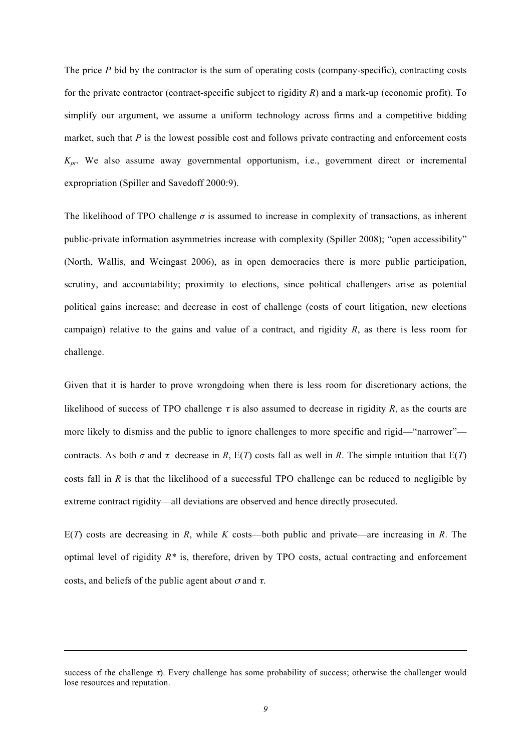The price *P* bid by the contractor is the sum of operating costs (company-specific), contracting costs for the private contractor (contract-specific subject to rigidity *R*) and a mark-up (economic profit). To simplify our argument, we assume a uniform technology across firms and a competitive bidding market, such that  $P$  is the lowest possible cost and follows private contracting and enforcement costs *Kpr*. We also assume away governmental opportunism, i.e., government direct or incremental expropriation (Spiller and Savedoff 2000:9).

The likelihood of TPO challenge  $\sigma$  is assumed to increase in complexity of transactions, as inherent public-private information asymmetries increase with complexity (Spiller 2008); "open accessibility" (North, Wallis, and Weingast 2006), as in open democracies there is more public participation, scrutiny, and accountability; proximity to elections, since political challengers arise as potential political gains increase; and decrease in cost of challenge (costs of court litigation, new elections campaign) relative to the gains and value of a contract, and rigidity *R*, as there is less room for challenge.

Given that it is harder to prove wrongdoing when there is less room for discretionary actions, the likelihood of success of TPO challenge  $\tau$  is also assumed to decrease in rigidity *R*, as the courts are more likely to dismiss and the public to ignore challenges to more specific and rigid—"narrower" contracts. As both  $\sigma$  and  $\tau$  decrease in *R*,  $E(T)$  costs fall as well in *R*. The simple intuition that  $E(T)$ costs fall in *R* is that the likelihood of a successful TPO challenge can be reduced to negligible by extreme contract rigidity—all deviations are observed and hence directly prosecuted.

E(*T*) costs are decreasing in *R*, while *K* costs—both public and private—are increasing in *R*. The optimal level of rigidity *R\** is, therefore, driven by TPO costs, actual contracting and enforcement costs, and beliefs of the public agent about  $\sigma$  and  $\tau$ .

success of the challenge  $\tau$ ). Every challenge has some probability of success; otherwise the challenger would lose resources and reputation.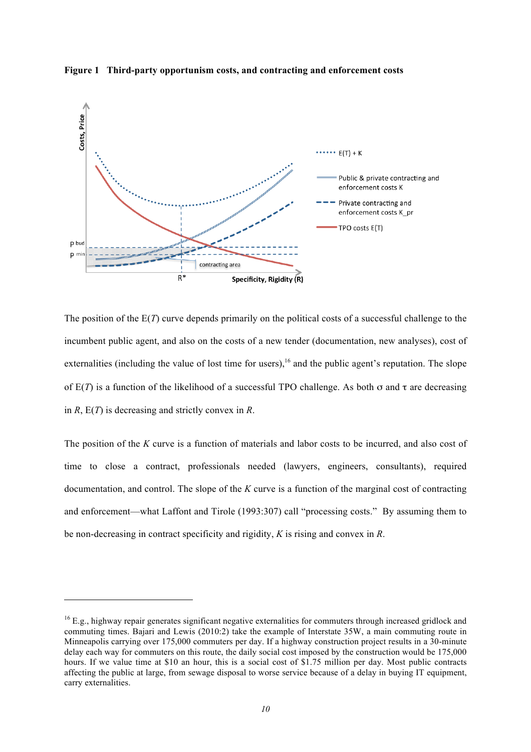



The position of the E(*T*) curve depends primarily on the political costs of a successful challenge to the incumbent public agent, and also on the costs of a new tender (documentation, new analyses), cost of externalities (including the value of lost time for users),<sup>16</sup> and the public agent's reputation. The slope of  $E(T)$  is a function of the likelihood of a successful TPO challenge. As both  $\sigma$  and  $\tau$  are decreasing in *R*, E(*T*) is decreasing and strictly convex in *R*.

The position of the *K* curve is a function of materials and labor costs to be incurred, and also cost of time to close a contract, professionals needed (lawyers, engineers, consultants), required documentation, and control. The slope of the *K* curve is a function of the marginal cost of contracting and enforcement—what Laffont and Tirole (1993:307) call "processing costs." By assuming them to be non-decreasing in contract specificity and rigidity, *K* is rising and convex in *R*.

 $^{16}$  E.g., highway repair generates significant negative externalities for commuters through increased gridlock and commuting times. Bajari and Lewis (2010:2) take the example of Interstate 35W, a main commuting route in Minneapolis carrying over 175,000 commuters per day. If a highway construction project results in a 30-minute delay each way for commuters on this route, the daily social cost imposed by the construction would be 175,000 hours. If we value time at \$10 an hour, this is a social cost of \$1.75 million per day. Most public contracts affecting the public at large, from sewage disposal to worse service because of a delay in buying IT equipment, carry externalities.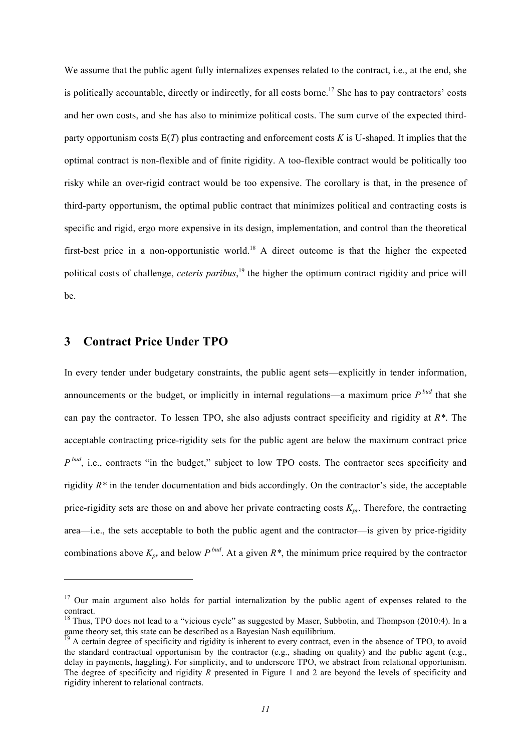We assume that the public agent fully internalizes expenses related to the contract, i.e., at the end, she is politically accountable, directly or indirectly, for all costs borne. <sup>17</sup> She has to pay contractors' costs and her own costs, and she has also to minimize political costs. The sum curve of the expected thirdparty opportunism costs  $E(T)$  plus contracting and enforcement costs *K* is U-shaped. It implies that the optimal contract is non-flexible and of finite rigidity. A too-flexible contract would be politically too risky while an over-rigid contract would be too expensive. The corollary is that, in the presence of third-party opportunism, the optimal public contract that minimizes political and contracting costs is specific and rigid, ergo more expensive in its design, implementation, and control than the theoretical first-best price in a non-opportunistic world.<sup>18</sup> A direct outcome is that the higher the expected political costs of challenge, *ceteris paribus*, <sup>19</sup> the higher the optimum contract rigidity and price will be.

# **3 Contract Price Under TPO**

 $\overline{a}$ 

In every tender under budgetary constraints, the public agent sets—explicitly in tender information, announcements or the budget, or implicitly in internal regulations—a maximum price  $P^{bud}$  that she can pay the contractor. To lessen TPO, she also adjusts contract specificity and rigidity at *R\**. The acceptable contracting price-rigidity sets for the public agent are below the maximum contract price *P*<sup>bud</sup>, i.e., contracts "in the budget," subject to low TPO costs. The contractor sees specificity and rigidity *R\** in the tender documentation and bids accordingly. On the contractor's side, the acceptable price-rigidity sets are those on and above her private contracting costs  $K_{pr}$ . Therefore, the contracting area—i.e., the sets acceptable to both the public agent and the contractor—is given by price-rigidity combinations above  $K_{pr}$  and below  $P^{bud}$ . At a given  $R^*$ , the minimum price required by the contractor

<sup>&</sup>lt;sup>17</sup> Our main argument also holds for partial internalization by the public agent of expenses related to the contract.

<sup>&</sup>lt;sup>18</sup> Thus, TPO does not lead to a "vicious cycle" as suggested by Maser, Subbotin, and Thompson (2010:4). In a game theory set, this state can be described as a Bayesian Nash equilibrium.

A certain degree of specificity and rigidity is inherent to every contract, even in the absence of TPO, to avoid the standard contractual opportunism by the contractor (e.g., shading on quality) and the public agent (e.g., delay in payments, haggling). For simplicity, and to underscore TPO, we abstract from relational opportunism. The degree of specificity and rigidity *R* presented in Figure 1 and 2 are beyond the levels of specificity and rigidity inherent to relational contracts.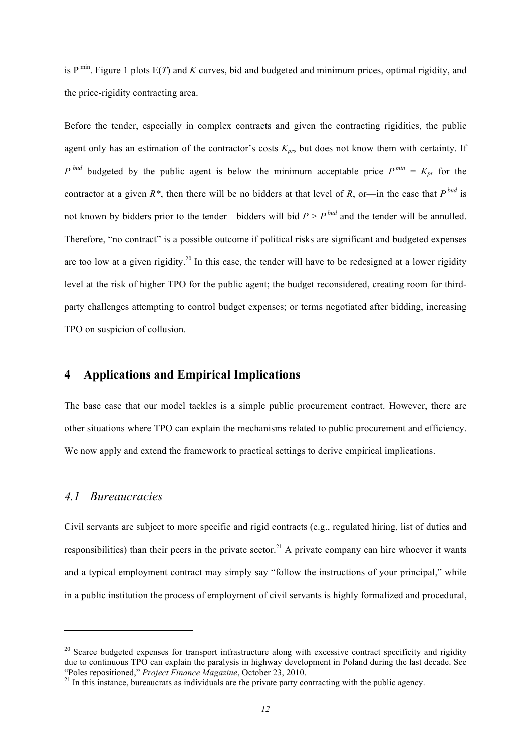is P min. Figure 1 plots E(*T*) and *K* curves, bid and budgeted and minimum prices, optimal rigidity, and the price-rigidity contracting area.

Before the tender, especially in complex contracts and given the contracting rigidities, the public agent only has an estimation of the contractor's costs  $K_{pr}$ , but does not know them with certainty. If  $P^{bud}$  budgeted by the public agent is below the minimum acceptable price  $P^{min} = K_{pr}$  for the contractor at a given  $R^*$ , then there will be no bidders at that level of  $R$ , or—in the case that  $P^{bud}$  is not known by bidders prior to the tender—bidders will bid  $P > P^{bud}$  and the tender will be annulled. Therefore, "no contract" is a possible outcome if political risks are significant and budgeted expenses are too low at a given rigidity.<sup>20</sup> In this case, the tender will have to be redesigned at a lower rigidity level at the risk of higher TPO for the public agent; the budget reconsidered, creating room for thirdparty challenges attempting to control budget expenses; or terms negotiated after bidding, increasing TPO on suspicion of collusion.

#### **4 Applications and Empirical Implications**

The base case that our model tackles is a simple public procurement contract. However, there are other situations where TPO can explain the mechanisms related to public procurement and efficiency. We now apply and extend the framework to practical settings to derive empirical implications.

#### *4.1 Bureaucracies*

 $\overline{a}$ 

Civil servants are subject to more specific and rigid contracts (e.g., regulated hiring, list of duties and responsibilities) than their peers in the private sector.<sup>21</sup> A private company can hire whoever it wants and a typical employment contract may simply say "follow the instructions of your principal," while in a public institution the process of employment of civil servants is highly formalized and procedural,

 $^{20}$  Scarce budgeted expenses for transport infrastructure along with excessive contract specificity and rigidity due to continuous TPO can explain the paralysis in highway development in Poland during the last decade. See

<sup>&</sup>quot;Poles repositioned," *Project Finance Magazine*, October 23, 2010.<br><sup>21</sup> In this instance, bureaucrats as individuals are the private party contracting with the public agency.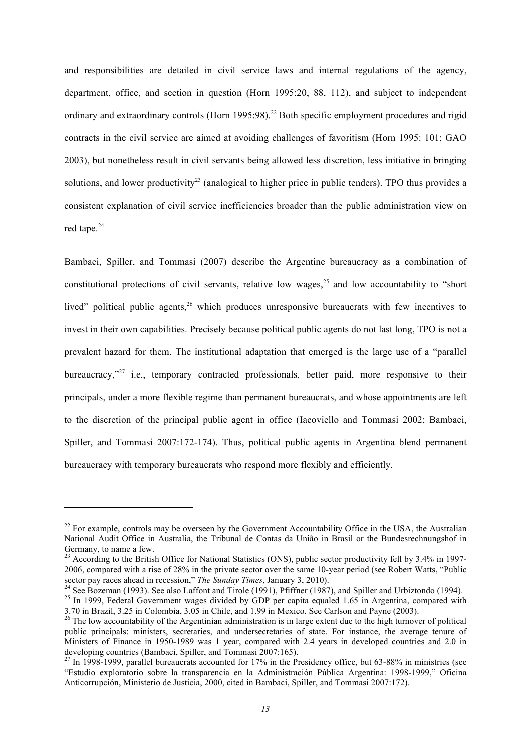and responsibilities are detailed in civil service laws and internal regulations of the agency, department, office, and section in question (Horn 1995:20, 88, 112), and subject to independent ordinary and extraordinary controls (Horn 1995:98).<sup>22</sup> Both specific employment procedures and rigid contracts in the civil service are aimed at avoiding challenges of favoritism (Horn 1995: 101; GAO 2003), but nonetheless result in civil servants being allowed less discretion, less initiative in bringing solutions, and lower productivity<sup>23</sup> (analogical to higher price in public tenders). TPO thus provides a consistent explanation of civil service inefficiencies broader than the public administration view on red tape.<sup>24</sup>

Bambaci, Spiller, and Tommasi (2007) describe the Argentine bureaucracy as a combination of constitutional protections of civil servants, relative low wages,  $25$  and low accountability to "short" lived" political public agents,<sup>26</sup> which produces unresponsive bureaucrats with few incentives to invest in their own capabilities. Precisely because political public agents do not last long, TPO is not a prevalent hazard for them. The institutional adaptation that emerged is the large use of a "parallel bureaucracy,"<sup>27</sup> i.e., temporary contracted professionals, better paid, more responsive to their principals, under a more flexible regime than permanent bureaucrats, and whose appointments are left to the discretion of the principal public agent in office (Iacoviello and Tommasi 2002; Bambaci, Spiller, and Tommasi 2007:172-174). Thus, political public agents in Argentina blend permanent bureaucracy with temporary bureaucrats who respond more flexibly and efficiently.

 $\overline{a}$ 

 $22$  For example, controls may be overseen by the Government Accountability Office in the USA, the Australian National Audit Office in Australia, the Tribunal de Contas da União in Brasil or the Bundesrechnungshof in Germany, to name a few.

 $^{23}$  According to the British Office for National Statistics (ONS), public sector productivity fell by 3.4% in 1997-2006, compared with a rise of 28% in the private sector over the same 10-year period (see Robert Watts, "Public sector pay races ahead in recession," *The Sunday Times*, January 3, 2010).

<sup>&</sup>lt;sup>24</sup> See Bozeman (1993). See also Laffont and Tirole (1991), Pfiffner (1987), and Spiller and Urbiztondo (1994).<br><sup>25</sup> In 1999, Federal Government wages divided by GDP per capita equaled 1.65 in Argentina, compared with 3.

 $36$  The low accountability of the Argentinian administration is in large extent due to the high turnover of political public principals: ministers, secretaries, and undersecretaries of state. For instance, the average tenure of Ministers of Finance in 1950-1989 was 1 year, compared with 2.4 years in developed countries and 2.0 in developing countries (Bambaci, Spiller, and Tommasi 2007:165).

 $27 \text{ In } 1998-1999$ , parallel bureaucrats accounted for 17% in the Presidency office, but 63-88% in ministries (see "Estudio exploratorio sobre la transparencia en la Administración Pública Argentina: 1998-1999," Oficina Anticorrupción, Ministerio de Justicia, 2000, cited in Bambaci, Spiller, and Tommasi 2007:172).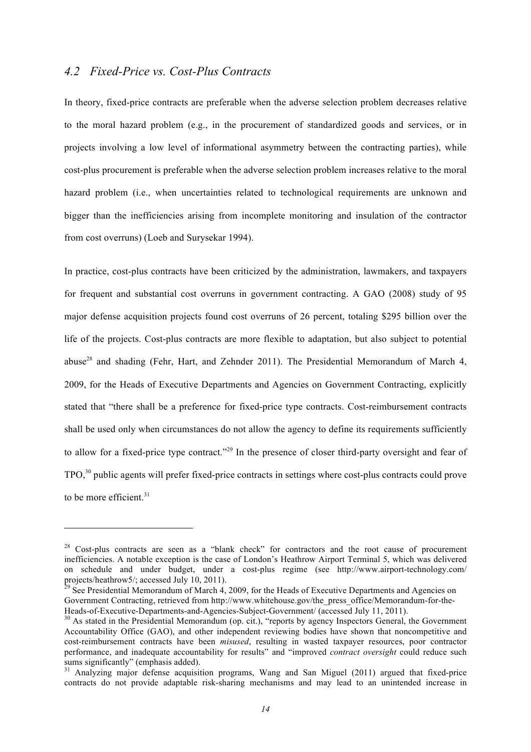## *4.2 Fixed-Price vs. Cost-Plus Contracts*

l

In theory, fixed-price contracts are preferable when the adverse selection problem decreases relative to the moral hazard problem (e.g., in the procurement of standardized goods and services, or in projects involving a low level of informational asymmetry between the contracting parties), while cost-plus procurement is preferable when the adverse selection problem increases relative to the moral hazard problem (i.e., when uncertainties related to technological requirements are unknown and bigger than the inefficiencies arising from incomplete monitoring and insulation of the contractor from cost overruns) (Loeb and Surysekar 1994).

In practice, cost-plus contracts have been criticized by the administration, lawmakers, and taxpayers for frequent and substantial cost overruns in government contracting. A GAO (2008) study of 95 major defense acquisition projects found cost overruns of 26 percent, totaling \$295 billion over the life of the projects. Cost-plus contracts are more flexible to adaptation, but also subject to potential abuse<sup>28</sup> and shading (Fehr, Hart, and Zehnder 2011). The Presidential Memorandum of March 4, 2009, for the Heads of Executive Departments and Agencies on Government Contracting, explicitly stated that "there shall be a preference for fixed-price type contracts. Cost-reimbursement contracts shall be used only when circumstances do not allow the agency to define its requirements sufficiently to allow for a fixed-price type contract."<sup>29</sup> In the presence of closer third-party oversight and fear of TPO,<sup>30</sup> public agents will prefer fixed-price contracts in settings where cost-plus contracts could prove to be more efficient. $31$ 

<sup>&</sup>lt;sup>28</sup> Cost-plus contracts are seen as a "blank check" for contractors and the root cause of procurement inefficiencies. A notable exception is the case of London's Heathrow Airport Terminal 5, which was delivered on schedule and under budget, under a cost-plus regime (see http://www.airport-technology.com/<br>projects/heathrow5/; accessed July 10, 2011).

<sup>&</sup>lt;sup>29</sup> See Presidential Memorandum of March 4, 2009, for the Heads of Executive Departments and Agencies on Government Contracting, retrieved from http://www.whitehouse.gov/the\_press\_office/Memorandum-for-the-Heads-of-Executive-Departments-and-Agencies-Subject-Government/ (accessed July 11, 2011).

 $^{30}$  As stated in the Presidential Memorandum (op. cit.), "reports by agency Inspectors General, the Government Accountability Office (GAO), and other independent reviewing bodies have shown that noncompetitive and cost-reimbursement contracts have been *misused*, resulting in wasted taxpayer resources, poor contractor performance, and inadequate accountability for results" and "improved *contract oversight* could reduce such sums significantly" (emphasis added).<br><sup>31</sup> Analyzing major defense acquisition programs, Wang and San Miguel (2011) argued that fixed-price

contracts do not provide adaptable risk-sharing mechanisms and may lead to an unintended increase in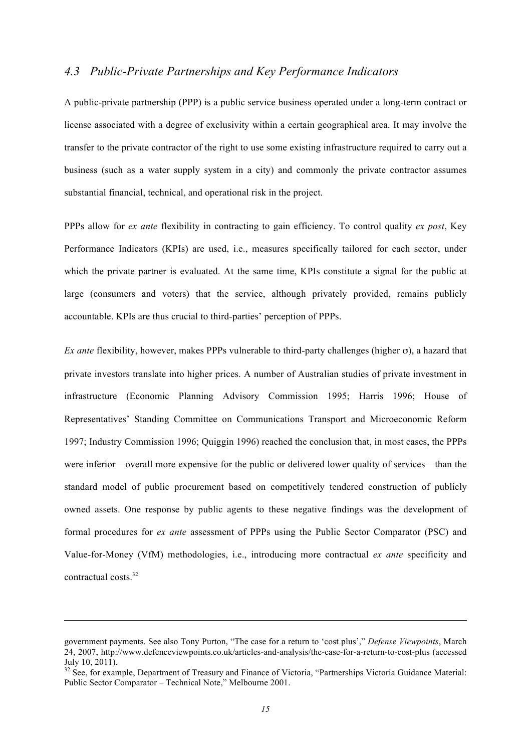#### *4.3 Public-Private Partnerships and Key Performance Indicators*

A public-private partnership (PPP) is a public service business operated under a long-term contract or license associated with a degree of exclusivity within a certain geographical area. It may involve the transfer to the private contractor of the right to use some existing infrastructure required to carry out a business (such as a water supply system in a city) and commonly the private contractor assumes substantial financial, technical, and operational risk in the project.

PPPs allow for *ex ante* flexibility in contracting to gain efficiency. To control quality *ex post*, Key Performance Indicators (KPIs) are used, i.e., measures specifically tailored for each sector, under which the private partner is evaluated. At the same time, KPIs constitute a signal for the public at large (consumers and voters) that the service, although privately provided, remains publicly accountable. KPIs are thus crucial to third-parties' perception of PPPs.

*Ex ante* flexibility, however, makes PPPs vulnerable to third-party challenges (higher σ), a hazard that private investors translate into higher prices. A number of Australian studies of private investment in infrastructure (Economic Planning Advisory Commission 1995; Harris 1996; House of Representatives' Standing Committee on Communications Transport and Microeconomic Reform 1997; Industry Commission 1996; Quiggin 1996) reached the conclusion that, in most cases, the PPPs were inferior—overall more expensive for the public or delivered lower quality of services—than the standard model of public procurement based on competitively tendered construction of publicly owned assets. One response by public agents to these negative findings was the development of formal procedures for *ex ante* assessment of PPPs using the Public Sector Comparator (PSC) and Value-for-Money (VfM) methodologies, i.e., introducing more contractual *ex ante* specificity and contractual costs. 32

government payments. See also Tony Purton, "The case for a return to 'cost plus'," *Defense Viewpoints*, March 24, 2007, http://www.defenceviewpoints.co.uk/articles-and-analysis/the-case-for-a-return-to-cost-plus (accessed July 10, 2011).

<sup>&</sup>lt;sup>32</sup> See, for example, Department of Treasury and Finance of Victoria, "Partnerships Victoria Guidance Material: Public Sector Comparator – Technical Note," Melbourne 2001.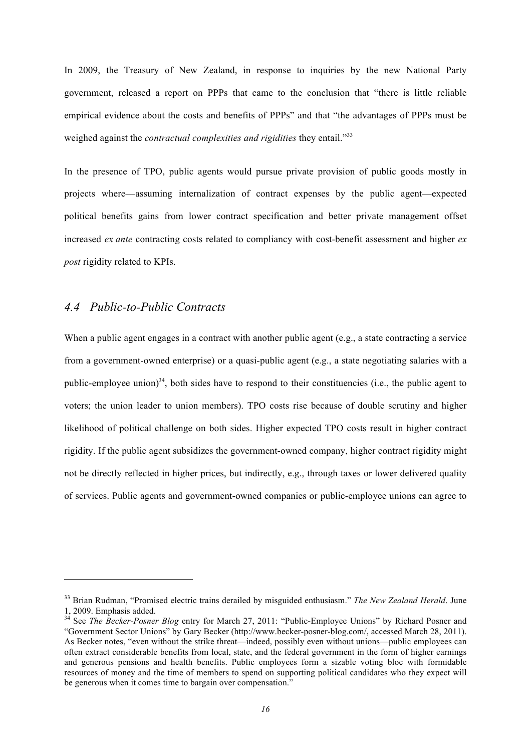In 2009, the Treasury of New Zealand, in response to inquiries by the new National Party government, released a report on PPPs that came to the conclusion that "there is little reliable empirical evidence about the costs and benefits of PPPs" and that "the advantages of PPPs must be weighed against the *contractual complexities and rigidities* they entail."<sup>33</sup>

In the presence of TPO, public agents would pursue private provision of public goods mostly in projects where—assuming internalization of contract expenses by the public agent—expected political benefits gains from lower contract specification and better private management offset increased *ex ante* contracting costs related to compliancy with cost-benefit assessment and higher *ex post* rigidity related to KPIs.

### *4.4 Public-to-Public Contracts*

 $\overline{a}$ 

When a public agent engages in a contract with another public agent (e.g., a state contracting a service from a government-owned enterprise) or a quasi-public agent (e.g., a state negotiating salaries with a public-employee union)<sup>34</sup>, both sides have to respond to their constituencies (i.e., the public agent to voters; the union leader to union members). TPO costs rise because of double scrutiny and higher likelihood of political challenge on both sides. Higher expected TPO costs result in higher contract rigidity. If the public agent subsidizes the government-owned company, higher contract rigidity might not be directly reflected in higher prices, but indirectly, e.g., through taxes or lower delivered quality of services. Public agents and government-owned companies or public-employee unions can agree to

<sup>&</sup>lt;sup>33</sup> Brian Rudman, "Promised electric trains derailed by misguided enthusiasm." *The New Zealand Herald*. June 1, 2009. Emphasis added.

<sup>&</sup>lt;sup>34</sup> See *The Becker-Posner Blog* entry for March 27, 2011: "Public-Employee Unions" by Richard Posner and "Government Sector Unions" by Gary Becker (http://www.becker-posner-blog.com/, accessed March 28, 2011). As Becker notes, "even without the strike threat—indeed, possibly even without unions—public employees can often extract considerable benefits from local, state, and the federal government in the form of higher earnings and generous pensions and health benefits. Public employees form a sizable voting bloc with formidable resources of money and the time of members to spend on supporting political candidates who they expect will be generous when it comes time to bargain over compensation."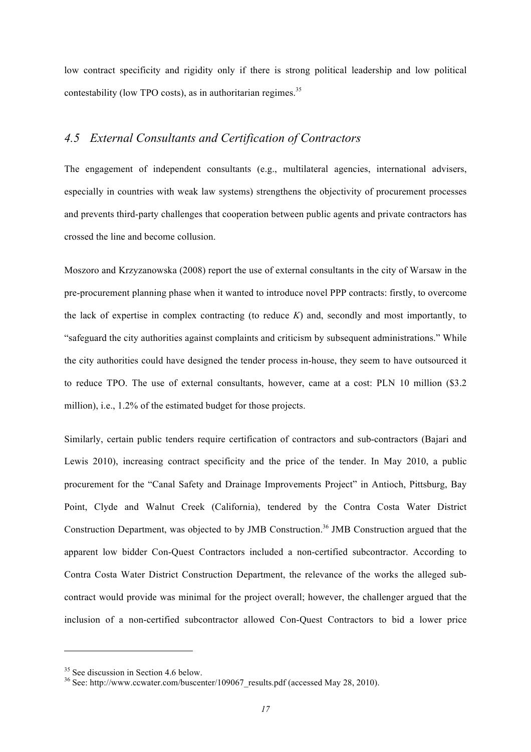low contract specificity and rigidity only if there is strong political leadership and low political contestability (low TPO costs), as in authoritarian regimes.<sup>35</sup>

# *4.5 External Consultants and Certification of Contractors*

The engagement of independent consultants (e.g., multilateral agencies, international advisers, especially in countries with weak law systems) strengthens the objectivity of procurement processes and prevents third-party challenges that cooperation between public agents and private contractors has crossed the line and become collusion.

Moszoro and Krzyzanowska (2008) report the use of external consultants in the city of Warsaw in the pre-procurement planning phase when it wanted to introduce novel PPP contracts: firstly, to overcome the lack of expertise in complex contracting (to reduce *K*) and, secondly and most importantly, to "safeguard the city authorities against complaints and criticism by subsequent administrations." While the city authorities could have designed the tender process in-house, they seem to have outsourced it to reduce TPO. The use of external consultants, however, came at a cost: PLN 10 million (\$3.2 million), i.e., 1.2% of the estimated budget for those projects.

Similarly, certain public tenders require certification of contractors and sub-contractors (Bajari and Lewis 2010), increasing contract specificity and the price of the tender. In May 2010, a public procurement for the "Canal Safety and Drainage Improvements Project" in Antioch, Pittsburg, Bay Point, Clyde and Walnut Creek (California), tendered by the Contra Costa Water District Construction Department, was objected to by JMB Construction.36 JMB Construction argued that the apparent low bidder Con-Quest Contractors included a non-certified subcontractor. According to Contra Costa Water District Construction Department, the relevance of the works the alleged subcontract would provide was minimal for the project overall; however, the challenger argued that the inclusion of a non-certified subcontractor allowed Con-Quest Contractors to bid a lower price

<sup>&</sup>lt;sup>35</sup> See discussion in Section 4.6 below.<br><sup>36</sup> See: http://www.ccwater.com/buscenter/109067 results.pdf (accessed May 28, 2010).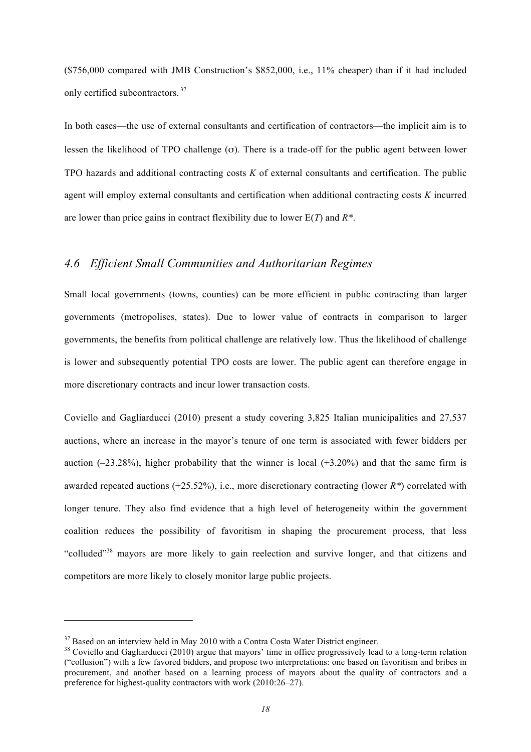(\$756,000 compared with JMB Construction's \$852,000, i.e., 11% cheaper) than if it had included only certified subcontractors. <sup>37</sup>

In both cases—the use of external consultants and certification of contractors—the implicit aim is to lessen the likelihood of TPO challenge (σ). There is a trade-off for the public agent between lower TPO hazards and additional contracting costs *K* of external consultants and certification. The public agent will employ external consultants and certification when additional contracting costs *K* incurred are lower than price gains in contract flexibility due to lower E(*T*) and *R\**.

#### *4.6 Efficient Small Communities and Authoritarian Regimes*

Small local governments (towns, counties) can be more efficient in public contracting than larger governments (metropolises, states). Due to lower value of contracts in comparison to larger governments, the benefits from political challenge are relatively low. Thus the likelihood of challenge is lower and subsequently potential TPO costs are lower. The public agent can therefore engage in more discretionary contracts and incur lower transaction costs.

Coviello and Gagliarducci (2010) present a study covering 3,825 Italian municipalities and 27,537 auctions, where an increase in the mayor's tenure of one term is associated with fewer bidders per auction  $(-23.28\%)$ , higher probability that the winner is local  $(+3.20\%)$  and that the same firm is awarded repeated auctions (+25.52%), i.e., more discretionary contracting (lower *R\**) correlated with longer tenure. They also find evidence that a high level of heterogeneity within the government coalition reduces the possibility of favoritism in shaping the procurement process, that less "colluded"<sup>38</sup> mayors are more likely to gain reelection and survive longer, and that citizens and competitors are more likely to closely monitor large public projects.

<sup>&</sup>lt;sup>37</sup> Based on an interview held in May 2010 with a Contra Costa Water District engineer.<br><sup>38</sup> Coviello and Gagliarducci (2010) argue that mayors' time in office progressively lead to a long-term relation ("collusion") with a few favored bidders, and propose two interpretations: one based on favoritism and bribes in procurement, and another based on a learning process of mayors about the quality of contractors and a preference for highest-quality contractors with work (2010:26–27).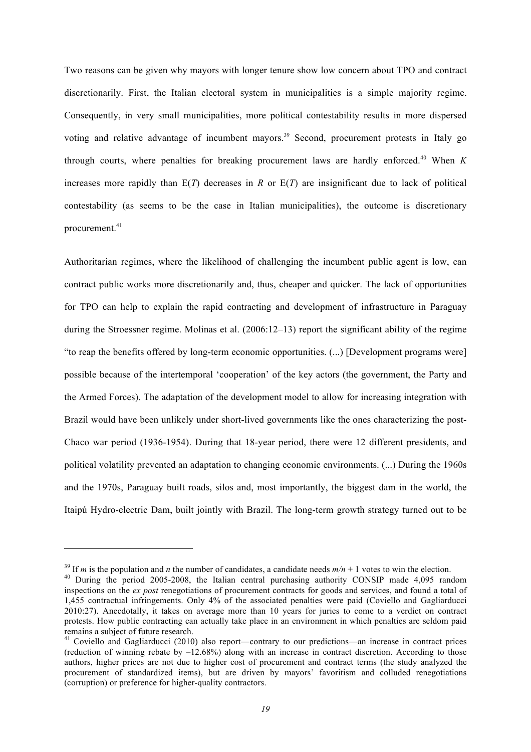Two reasons can be given why mayors with longer tenure show low concern about TPO and contract discretionarily. First, the Italian electoral system in municipalities is a simple majority regime. Consequently, in very small municipalities, more political contestability results in more dispersed voting and relative advantage of incumbent mayors.<sup>39</sup> Second, procurement protests in Italy go through courts, where penalties for breaking procurement laws are hardly enforced.<sup>40</sup> When  $K$ increases more rapidly than  $E(T)$  decreases in *R* or  $E(T)$  are insignificant due to lack of political contestability (as seems to be the case in Italian municipalities), the outcome is discretionary procurement.<sup>41</sup>

Authoritarian regimes, where the likelihood of challenging the incumbent public agent is low, can contract public works more discretionarily and, thus, cheaper and quicker. The lack of opportunities for TPO can help to explain the rapid contracting and development of infrastructure in Paraguay during the Stroessner regime. Molinas et al. (2006:12–13) report the significant ability of the regime "to reap the benefits offered by long-term economic opportunities. (...) [Development programs were] possible because of the intertemporal 'cooperation' of the key actors (the government, the Party and the Armed Forces). The adaptation of the development model to allow for increasing integration with Brazil would have been unlikely under short-lived governments like the ones characterizing the post-Chaco war period (1936-1954). During that 18-year period, there were 12 different presidents, and political volatility prevented an adaptation to changing economic environments. (...) During the 1960s and the 1970s, Paraguay built roads, silos and, most importantly, the biggest dam in the world, the Itaipú Hydro-electric Dam, built jointly with Brazil. The long-term growth strategy turned out to be

 $\overline{a}$ 

<sup>&</sup>lt;sup>39</sup> If *m* is the population and *n* the number of candidates, a candidate needs  $m/n + 1$  votes to win the election.<br><sup>40</sup> During the period 2005-2008, the Italian central purchasing authority CONSIP made 4,095 random

inspections on the *ex post* renegotiations of procurement contracts for goods and services, and found a total of 1,455 contractual infringements. Only 4% of the associated penalties were paid (Coviello and Gagliarducci 2010:27). Anecdotally, it takes on average more than 10 years for juries to come to a verdict on contract protests. How public contracting can actually take place in an environment in which penalties are seldom paid remains a subject of future research.

<sup>&</sup>lt;sup>41</sup> Coviello and Gagliarducci (2010) also report—contrary to our predictions—an increase in contract prices (reduction of winning rebate by –12.68%) along with an increase in contract discretion. According to those authors, higher prices are not due to higher cost of procurement and contract terms (the study analyzed the procurement of standardized items), but are driven by mayors' favoritism and colluded renegotiations (corruption) or preference for higher-quality contractors.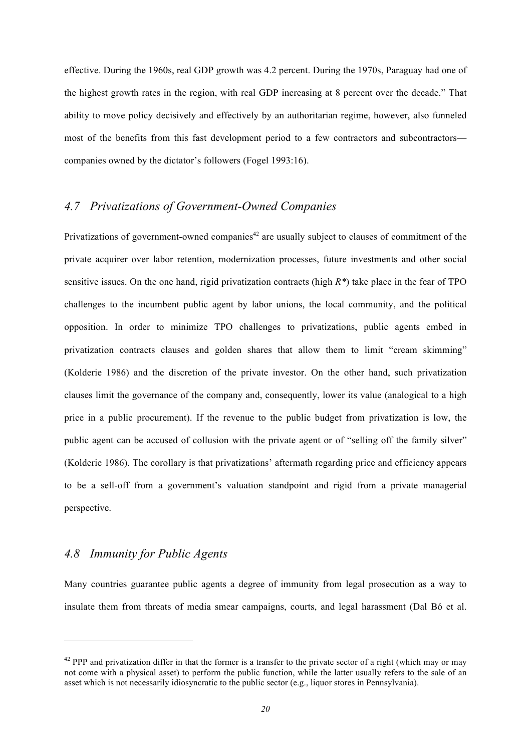effective. During the 1960s, real GDP growth was 4.2 percent. During the 1970s, Paraguay had one of the highest growth rates in the region, with real GDP increasing at 8 percent over the decade." That ability to move policy decisively and effectively by an authoritarian regime, however, also funneled most of the benefits from this fast development period to a few contractors and subcontractors companies owned by the dictator's followers (Fogel 1993:16).

## *4.7 Privatizations of Government-Owned Companies*

Privatizations of government-owned companies<sup>42</sup> are usually subject to clauses of commitment of the private acquirer over labor retention, modernization processes, future investments and other social sensitive issues. On the one hand, rigid privatization contracts (high *R\**) take place in the fear of TPO challenges to the incumbent public agent by labor unions, the local community, and the political opposition. In order to minimize TPO challenges to privatizations, public agents embed in privatization contracts clauses and golden shares that allow them to limit "cream skimming" (Kolderie 1986) and the discretion of the private investor. On the other hand, such privatization clauses limit the governance of the company and, consequently, lower its value (analogical to a high price in a public procurement). If the revenue to the public budget from privatization is low, the public agent can be accused of collusion with the private agent or of "selling off the family silver" (Kolderie 1986). The corollary is that privatizations' aftermath regarding price and efficiency appears to be a sell-off from a government's valuation standpoint and rigid from a private managerial perspective.

## *4.8 Immunity for Public Agents*

 $\overline{a}$ 

Many countries guarantee public agents a degree of immunity from legal prosecution as a way to insulate them from threats of media smear campaigns, courts, and legal harassment (Dal Bó et al.

 $42$  PPP and privatization differ in that the former is a transfer to the private sector of a right (which may or may not come with a physical asset) to perform the public function, while the latter usually refers to the sale of an asset which is not necessarily idiosyncratic to the public sector (e.g., liquor stores in Pennsylvania).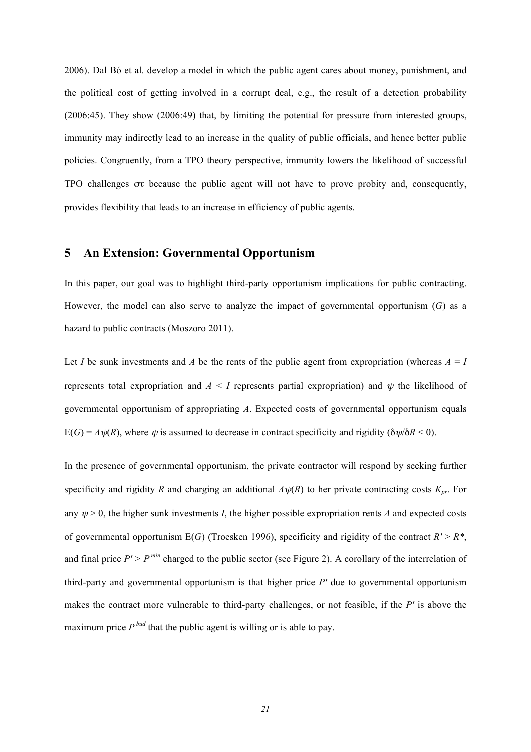2006). Dal Bó et al. develop a model in which the public agent cares about money, punishment, and the political cost of getting involved in a corrupt deal, e.g., the result of a detection probability (2006:45). They show (2006:49) that, by limiting the potential for pressure from interested groups, immunity may indirectly lead to an increase in the quality of public officials, and hence better public policies. Congruently, from a TPO theory perspective, immunity lowers the likelihood of successful TPO challenges στ because the public agent will not have to prove probity and, consequently, provides flexibility that leads to an increase in efficiency of public agents.

## **5 An Extension: Governmental Opportunism**

In this paper, our goal was to highlight third-party opportunism implications for public contracting. However, the model can also serve to analyze the impact of governmental opportunism (*G*) as a hazard to public contracts (Moszoro 2011).

Let *I* be sunk investments and *A* be the rents of the public agent from expropriation (whereas  $A = I$ represents total expropriation and  $A \leq I$  represents partial expropriation) and  $\psi$  the likelihood of governmental opportunism of appropriating *A*. Expected costs of governmental opportunism equals  $E(G) = A\psi(R)$ , where  $\psi$  is assumed to decrease in contract specificity and rigidity ( $\delta \psi / \delta R$  < 0).

In the presence of governmental opportunism, the private contractor will respond by seeking further specificity and rigidity *R* and charging an additional  $A\psi(R)$  to her private contracting costs  $K_{pr}$ . For any  $\psi > 0$ , the higher sunk investments *I*, the higher possible expropriation rents *A* and expected costs of governmental opportunism  $E(G)$  (Troesken 1996), specificity and rigidity of the contract  $R' > R^*$ , and final price  $P' > P^{min}$  charged to the public sector (see Figure 2). A corollary of the interrelation of third-party and governmental opportunism is that higher price *P'* due to governmental opportunism makes the contract more vulnerable to third-party challenges, or not feasible, if the *P'* is above the maximum price  $P^{bud}$  that the public agent is willing or is able to pay.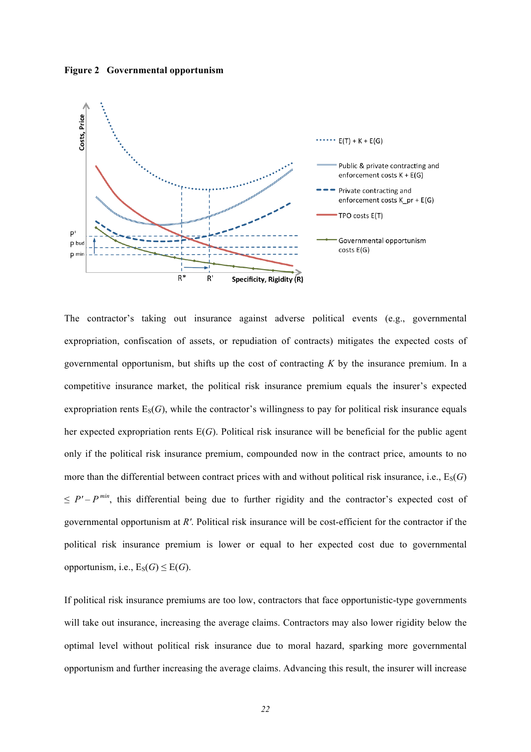**Figure 2 Governmental opportunism**



The contractor's taking out insurance against adverse political events (e.g., governmental expropriation, confiscation of assets, or repudiation of contracts) mitigates the expected costs of governmental opportunism, but shifts up the cost of contracting *K* by the insurance premium. In a competitive insurance market, the political risk insurance premium equals the insurer's expected expropriation rents  $E_S(G)$ , while the contractor's willingness to pay for political risk insurance equals her expected expropriation rents E(*G*). Political risk insurance will be beneficial for the public agent only if the political risk insurance premium, compounded now in the contract price, amounts to no more than the differential between contract prices with and without political risk insurance, i.e.,  $E_S(G)$  $\leq P'-P^{min}$ , this differential being due to further rigidity and the contractor's expected cost of governmental opportunism at *R'*. Political risk insurance will be cost-efficient for the contractor if the political risk insurance premium is lower or equal to her expected cost due to governmental opportunism, i.e.,  $E_S(G) \leq E(G)$ .

If political risk insurance premiums are too low, contractors that face opportunistic-type governments will take out insurance, increasing the average claims. Contractors may also lower rigidity below the optimal level without political risk insurance due to moral hazard, sparking more governmental opportunism and further increasing the average claims. Advancing this result, the insurer will increase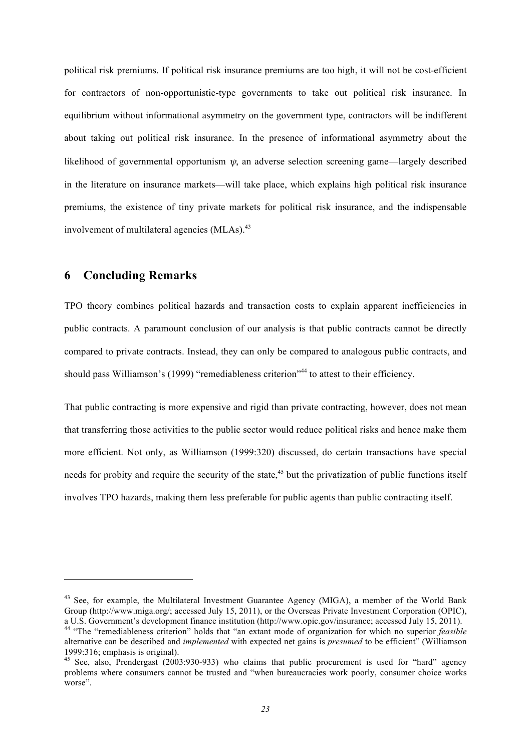political risk premiums. If political risk insurance premiums are too high, it will not be cost-efficient for contractors of non-opportunistic-type governments to take out political risk insurance. In equilibrium without informational asymmetry on the government type, contractors will be indifferent about taking out political risk insurance. In the presence of informational asymmetry about the likelihood of governmental opportunism  $\psi$ , an adverse selection screening game—largely described in the literature on insurance markets—will take place, which explains high political risk insurance premiums, the existence of tiny private markets for political risk insurance, and the indispensable involvement of multilateral agencies (MLAs).<sup>43</sup>

#### **6 Concluding Remarks**

 $\overline{a}$ 

TPO theory combines political hazards and transaction costs to explain apparent inefficiencies in public contracts. A paramount conclusion of our analysis is that public contracts cannot be directly compared to private contracts. Instead, they can only be compared to analogous public contracts, and should pass Williamson's (1999) "remediableness criterion"<sup>44</sup> to attest to their efficiency.

That public contracting is more expensive and rigid than private contracting, however, does not mean that transferring those activities to the public sector would reduce political risks and hence make them more efficient. Not only, as Williamson (1999:320) discussed, do certain transactions have special needs for probity and require the security of the state,<sup>45</sup> but the privatization of public functions itself involves TPO hazards, making them less preferable for public agents than public contracting itself.

<sup>&</sup>lt;sup>43</sup> See, for example, the Multilateral Investment Guarantee Agency (MIGA), a member of the World Bank Group (http://www.miga.org/; accessed July 15, 2011), or the Overseas Private Investment Corporation (OPIC), a U.S. Government's development finance institution (http://www.opic.gov/insurance; accessed July 15, 2011).

<sup>&</sup>lt;sup>44</sup> "The "remediableness criterion" holds that "an extant mode of organization for which no superior *feasible* alternative can be described and *implemented* with expected net gains is *presumed* to be efficient" (Williamson 1999:316; emphasis is original).

<sup>45</sup> See, also, Prendergast (2003:930-933) who claims that public procurement is used for "hard" agency problems where consumers cannot be trusted and "when bureaucracies work poorly, consumer choice works worse".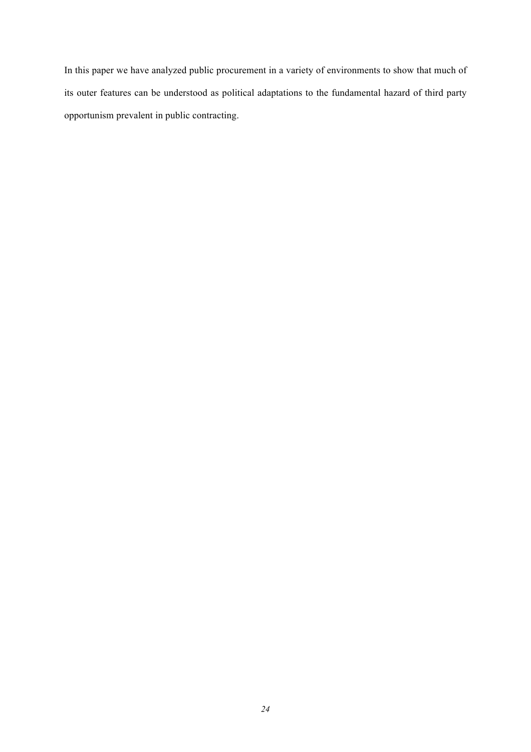In this paper we have analyzed public procurement in a variety of environments to show that much of its outer features can be understood as political adaptations to the fundamental hazard of third party opportunism prevalent in public contracting.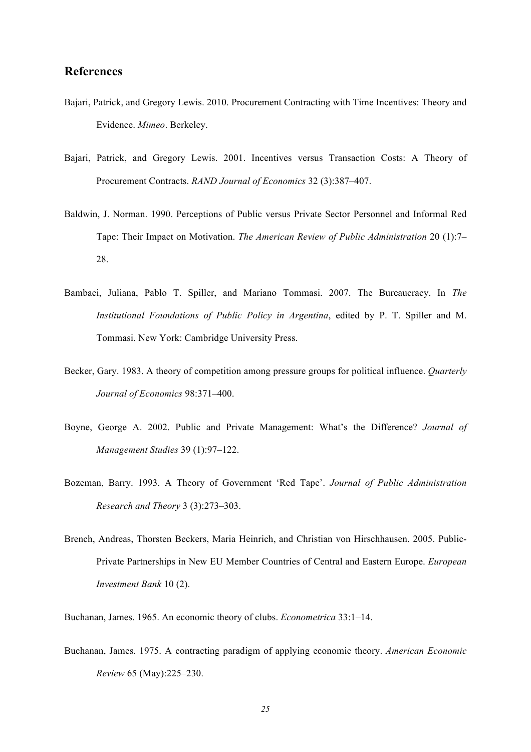## **References**

- Bajari, Patrick, and Gregory Lewis. 2010. Procurement Contracting with Time Incentives: Theory and Evidence. *Mimeo*. Berkeley.
- Bajari, Patrick, and Gregory Lewis. 2001. Incentives versus Transaction Costs: A Theory of Procurement Contracts. *RAND Journal of Economics* 32 (3):387–407.
- Baldwin, J. Norman. 1990. Perceptions of Public versus Private Sector Personnel and Informal Red Tape: Their Impact on Motivation. *The American Review of Public Administration* 20 (1):7– 28.
- Bambaci, Juliana, Pablo T. Spiller, and Mariano Tommasi. 2007. The Bureaucracy. In *The Institutional Foundations of Public Policy in Argentina*, edited by P. T. Spiller and M. Tommasi. New York: Cambridge University Press.
- Becker, Gary. 1983. A theory of competition among pressure groups for political influence. *Quarterly Journal of Economics* 98:371–400.
- Boyne, George A. 2002. Public and Private Management: What's the Difference? *Journal of Management Studies* 39 (1):97–122.
- Bozeman, Barry. 1993. A Theory of Government 'Red Tape'. *Journal of Public Administration Research and Theory* 3 (3):273–303.
- Brench, Andreas, Thorsten Beckers, Maria Heinrich, and Christian von Hirschhausen. 2005. Public-Private Partnerships in New EU Member Countries of Central and Eastern Europe. *European Investment Bank* 10 (2).

Buchanan, James. 1965. An economic theory of clubs. *Econometrica* 33:1–14.

Buchanan, James. 1975. A contracting paradigm of applying economic theory. *American Economic Review* 65 (May):225–230.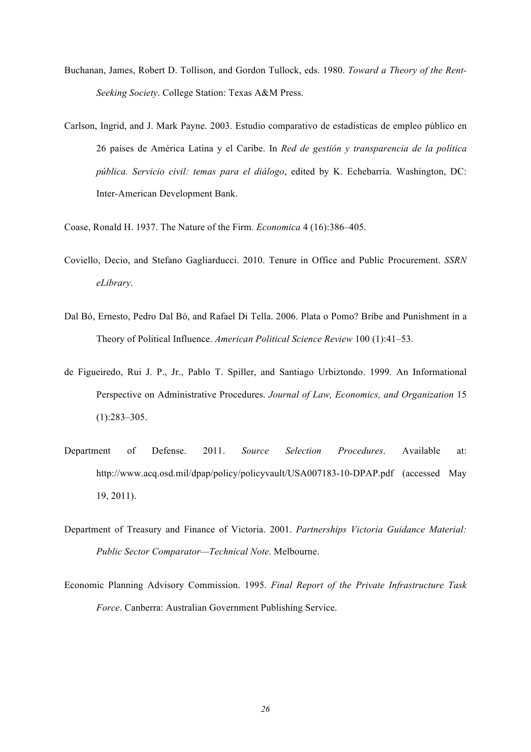- Buchanan, James, Robert D. Tollison, and Gordon Tullock, eds. 1980. *Toward a Theory of the Rent-Seeking Society*. College Station: Texas A&M Press.
- Carlson, Ingrid, and J. Mark Payne. 2003. Estudio comparativo de estadísticas de empleo público en 26 países de América Latina y el Caribe. In *Red de gestión y transparencia de la política pública. Servicio civil: temas para el diálogo*, edited by K. Echebarría. Washington, DC: Inter-American Development Bank.
- Coase, Ronald H. 1937. The Nature of the Firm. *Economica* 4 (16):386–405.
- Coviello, Decio, and Stefano Gagliarducci. 2010. Tenure in Office and Public Procurement. *SSRN eLibrary*.
- Dal Bó, Ernesto, Pedro Dal Bó, and Rafael Di Tella. 2006. Plata o Pomo? Bribe and Punishment in a Theory of Political Influence. *American Political Science Review* 100 (1):41–53.
- de Figueiredo, Rui J. P., Jr., Pablo T. Spiller, and Santiago Urbiztondo. 1999. An Informational Perspective on Administrative Procedures. *Journal of Law, Economics, and Organization* 15 (1):283–305.
- Department of Defense. 2011. *Source Selection Procedures*. Available at: http://www.acq.osd.mil/dpap/policy/policyvault/USA007183-10-DPAP.pdf (accessed May 19, 2011).
- Department of Treasury and Finance of Victoria. 2001. *Partnerships Victoria Guidance Material: Public Sector Comparator—Technical Note*. Melbourne.
- Economic Planning Advisory Commission. 1995. *Final Report of the Private Infrastructure Task Force*. Canberra: Australian Government Publishing Service.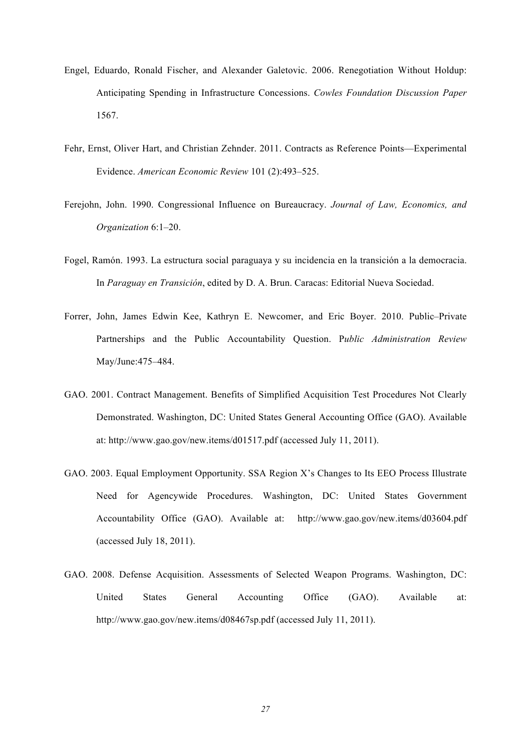- Engel, Eduardo, Ronald Fischer, and Alexander Galetovic. 2006. Renegotiation Without Holdup: Anticipating Spending in Infrastructure Concessions. *Cowles Foundation Discussion Paper*  1567.
- Fehr, Ernst, Oliver Hart, and Christian Zehnder. 2011. Contracts as Reference Points—Experimental Evidence. *American Economic Review* 101 (2):493–525.
- Ferejohn, John. 1990. Congressional Influence on Bureaucracy. *Journal of Law, Economics, and Organization* 6:1–20.
- Fogel, Ramón. 1993. La estructura social paraguaya y su incidencia en la transición a la democracia. In *Paraguay en Transición*, edited by D. A. Brun. Caracas: Editorial Nueva Sociedad.
- Forrer, John, James Edwin Kee, Kathryn E. Newcomer, and Eric Boyer. 2010. Public–Private Partnerships and the Public Accountability Question. P*ublic Administration Review*  May/June:475–484.
- GAO. 2001. Contract Management. Benefits of Simplified Acquisition Test Procedures Not Clearly Demonstrated. Washington, DC: United States General Accounting Office (GAO). Available at: http://www.gao.gov/new.items/d01517.pdf (accessed July 11, 2011).
- GAO. 2003. Equal Employment Opportunity. SSA Region X's Changes to Its EEO Process Illustrate Need for Agencywide Procedures. Washington, DC: United States Government Accountability Office (GAO). Available at: http://www.gao.gov/new.items/d03604.pdf (accessed July 18, 2011).
- GAO. 2008. Defense Acquisition. Assessments of Selected Weapon Programs. Washington, DC: United States General Accounting Office (GAO). Available at: http://www.gao.gov/new.items/d08467sp.pdf (accessed July 11, 2011).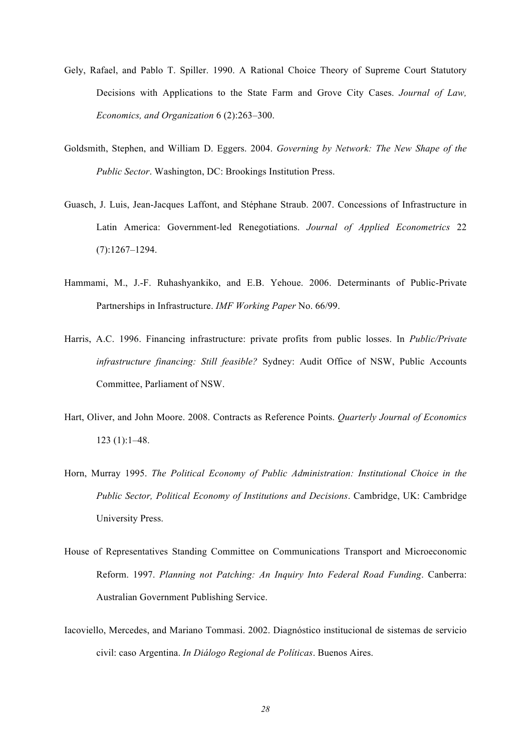- Gely, Rafael, and Pablo T. Spiller. 1990. A Rational Choice Theory of Supreme Court Statutory Decisions with Applications to the State Farm and Grove City Cases. *Journal of Law, Economics, and Organization* 6 (2):263–300.
- Goldsmith, Stephen, and William D. Eggers. 2004. *Governing by Network: The New Shape of the Public Sector*. Washington, DC: Brookings Institution Press.
- Guasch, J. Luis, Jean-Jacques Laffont, and Stéphane Straub. 2007. Concessions of Infrastructure in Latin America: Government-led Renegotiations. *Journal of Applied Econometrics* 22 (7):1267–1294.
- Hammami, M., J.-F. Ruhashyankiko, and E.B. Yehoue. 2006. Determinants of Public-Private Partnerships in Infrastructure. *IMF Working Paper* No. 66/99.
- Harris, A.C. 1996. Financing infrastructure: private profits from public losses. In *Public/Private infrastructure financing: Still feasible?* Sydney: Audit Office of NSW, Public Accounts Committee, Parliament of NSW.
- Hart, Oliver, and John Moore. 2008. Contracts as Reference Points. *Quarterly Journal of Economics* 123 (1):1–48.
- Horn, Murray 1995. *The Political Economy of Public Administration: Institutional Choice in the Public Sector, Political Economy of Institutions and Decisions*. Cambridge, UK: Cambridge University Press.
- House of Representatives Standing Committee on Communications Transport and Microeconomic Reform. 1997. *Planning not Patching: An Inquiry Into Federal Road Funding*. Canberra: Australian Government Publishing Service.
- Iacoviello, Mercedes, and Mariano Tommasi. 2002. Diagnóstico institucional de sistemas de servicio civil: caso Argentina. *In Diálogo Regional de Políticas*. Buenos Aires.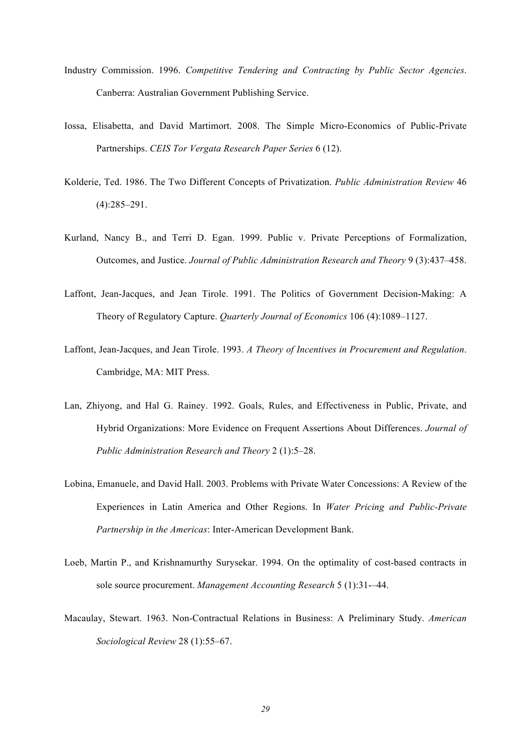- Industry Commission. 1996. *Competitive Tendering and Contracting by Public Sector Agencies*. Canberra: Australian Government Publishing Service.
- Iossa, Elisabetta, and David Martimort. 2008. The Simple Micro-Economics of Public-Private Partnerships. *CEIS Tor Vergata Research Paper Series* 6 (12).
- Kolderie, Ted. 1986. The Two Different Concepts of Privatization. *Public Administration Review* 46 (4):285–291.
- Kurland, Nancy B., and Terri D. Egan. 1999. Public v. Private Perceptions of Formalization, Outcomes, and Justice. *Journal of Public Administration Research and Theory* 9 (3):437–458.
- Laffont, Jean-Jacques, and Jean Tirole. 1991. The Politics of Government Decision-Making: A Theory of Regulatory Capture. *Quarterly Journal of Economics* 106 (4):1089–1127.
- Laffont, Jean-Jacques, and Jean Tirole. 1993. *A Theory of Incentives in Procurement and Regulation*. Cambridge, MA: MIT Press.
- Lan, Zhiyong, and Hal G. Rainey. 1992. Goals, Rules, and Effectiveness in Public, Private, and Hybrid Organizations: More Evidence on Frequent Assertions About Differences. *Journal of Public Administration Research and Theory* 2 (1):5–28.
- Lobina, Emanuele, and David Hall. 2003. Problems with Private Water Concessions: A Review of the Experiences in Latin America and Other Regions. In *Water Pricing and Public-Private Partnership in the Americas*: Inter-American Development Bank.
- Loeb, Martin P., and Krishnamurthy Surysekar. 1994. On the optimality of cost-based contracts in sole source procurement. *Management Accounting Research* 5 (1):31-–44.
- Macaulay, Stewart. 1963. Non-Contractual Relations in Business: A Preliminary Study. *American Sociological Review* 28 (1):55–67.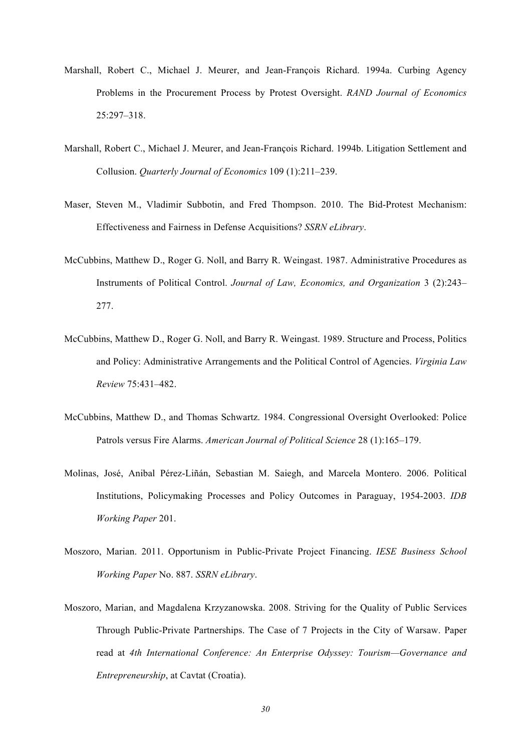- Marshall, Robert C., Michael J. Meurer, and Jean-François Richard. 1994a. Curbing Agency Problems in the Procurement Process by Protest Oversight. *RAND Journal of Economics* 25:297–318.
- Marshall, Robert C., Michael J. Meurer, and Jean-François Richard. 1994b. Litigation Settlement and Collusion. *Quarterly Journal of Economics* 109 (1):211–239.
- Maser, Steven M., Vladimir Subbotin, and Fred Thompson. 2010. The Bid-Protest Mechanism: Effectiveness and Fairness in Defense Acquisitions? *SSRN eLibrary*.
- McCubbins, Matthew D., Roger G. Noll, and Barry R. Weingast. 1987. Administrative Procedures as Instruments of Political Control. *Journal of Law, Economics, and Organization* 3 (2):243– 277.
- McCubbins, Matthew D., Roger G. Noll, and Barry R. Weingast. 1989. Structure and Process, Politics and Policy: Administrative Arrangements and the Political Control of Agencies. *Virginia Law Review* 75:431–482.
- McCubbins, Matthew D., and Thomas Schwartz. 1984. Congressional Oversight Overlooked: Police Patrols versus Fire Alarms. *American Journal of Political Science* 28 (1):165–179.
- Molinas, José, Anibal Pérez-Liñán, Sebastian M. Saiegh, and Marcela Montero. 2006. Political Institutions, Policymaking Processes and Policy Outcomes in Paraguay, 1954-2003. *IDB Working Paper* 201.
- Moszoro, Marian. 2011. Opportunism in Public-Private Project Financing. *IESE Business School Working Paper* No. 887. *SSRN eLibrary*.
- Moszoro, Marian, and Magdalena Krzyzanowska. 2008. Striving for the Quality of Public Services Through Public-Private Partnerships. The Case of 7 Projects in the City of Warsaw. Paper read at *4th International Conference: An Enterprise Odyssey: Tourism—Governance and Entrepreneurship*, at Cavtat (Croatia).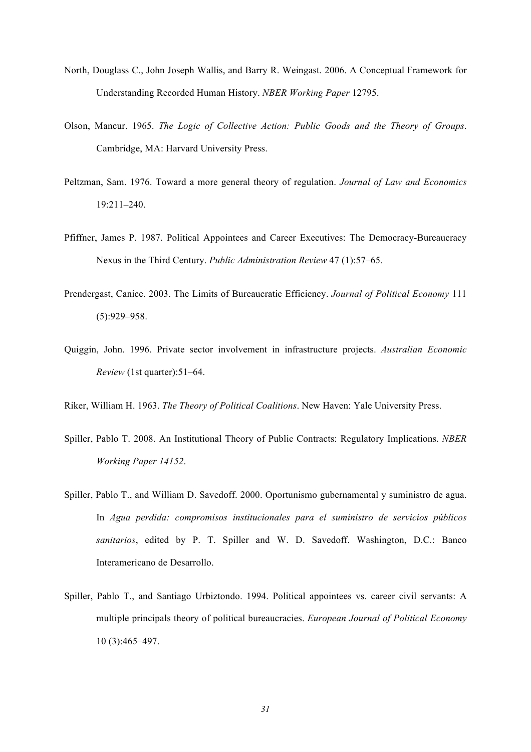- North, Douglass C., John Joseph Wallis, and Barry R. Weingast. 2006. A Conceptual Framework for Understanding Recorded Human History. *NBER Working Paper* 12795.
- Olson, Mancur. 1965. *The Logic of Collective Action: Public Goods and the Theory of Groups*. Cambridge, MA: Harvard University Press.
- Peltzman, Sam. 1976. Toward a more general theory of regulation. *Journal of Law and Economics*  19:211–240.
- Pfiffner, James P. 1987. Political Appointees and Career Executives: The Democracy-Bureaucracy Nexus in the Third Century. *Public Administration Review* 47 (1):57–65.
- Prendergast, Canice. 2003. The Limits of Bureaucratic Efficiency. *Journal of Political Economy* 111 (5):929–958.
- Quiggin, John. 1996. Private sector involvement in infrastructure projects. *Australian Economic Review* (1st quarter):51–64.

Riker, William H. 1963. *The Theory of Political Coalitions*. New Haven: Yale University Press.

- Spiller, Pablo T. 2008. An Institutional Theory of Public Contracts: Regulatory Implications. *NBER Working Paper 14152*.
- Spiller, Pablo T., and William D. Savedoff. 2000. Oportunismo gubernamental y suministro de agua. In *Agua perdida: compromisos institucionales para el suministro de servicios públicos sanitarios*, edited by P. T. Spiller and W. D. Savedoff. Washington, D.C.: Banco Interamericano de Desarrollo.
- Spiller, Pablo T., and Santiago Urbiztondo. 1994. Political appointees vs. career civil servants: A multiple principals theory of political bureaucracies. *European Journal of Political Economy*  10 (3):465–497.